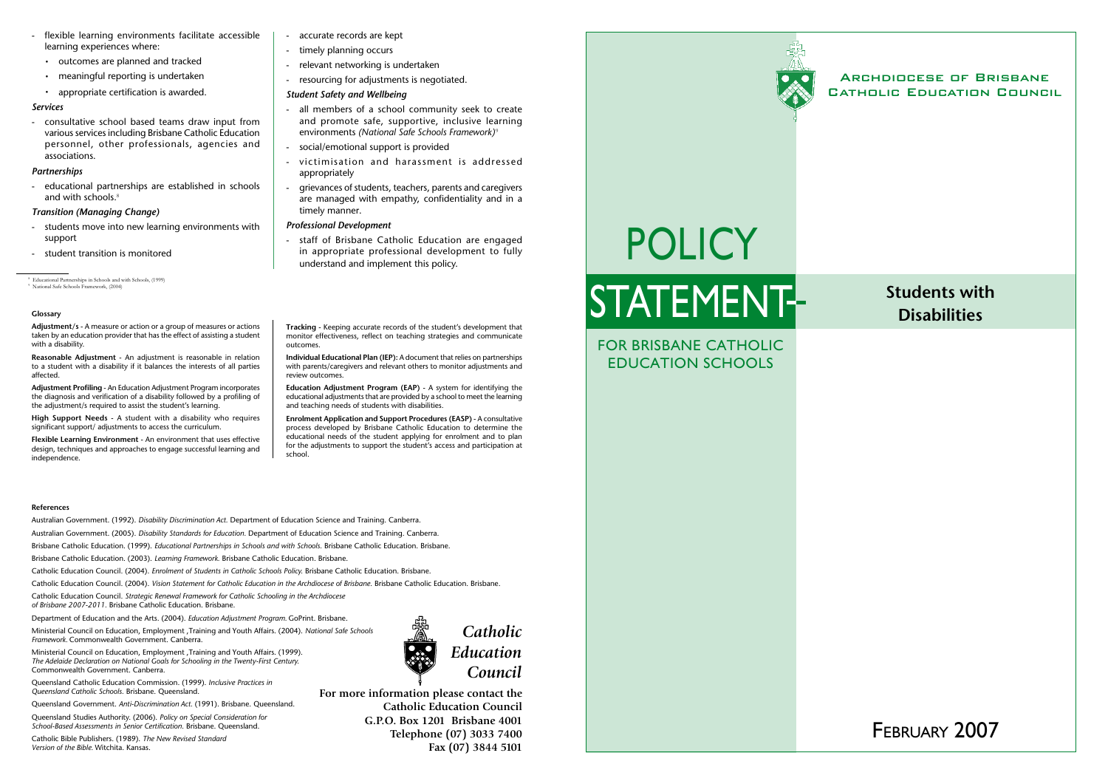# February 2007

# For Brisbane Catholic Education Schools

## Archdiocese of Brisbane Catholic Education Council

# **Students with Disabilities**

- flexible learning environments facilitate accessible learning experiences where:
	- • outcomes are planned and tracked
	- meaningful reporting is undertaken
	- appropriate certification is awarded.

consultative school based teams draw input from various services including Brisbane Catholic Education personnel, other professionals, agencies and associations.

#### *Services*

#### *Partnerships*

- educational partnerships are established in schools and with schools.<sup>8</sup>

#### *Transition (Managing Change)*

- students move into new learning environments with support
- student transition is monitored

#### **References**

Australian Government. (1992). *Disability Discrimination Act.* Department of Education Science and Training. Canberra.

Australian Government. (2005). *Disability Standards for Education.* Department of Education Science and Training. Canberra.

Brisbane Catholic Education. (1999). *Educational Partnerships in Schools and with Schools.* Brisbane Catholic Education. Brisbane.

Brisbane Catholic Education. (2003). *Learning Framework.* Brisbane Catholic Education. Brisbane.

Catholic Education Council. (2004). *Enrolment of Students in Catholic Schools Policy.* Brisbane Catholic Education. Brisbane.

Catholic Education Council. (2004). *Vision Statement for Catholic Education in the Archdiocese of Brisbane.* Brisbane Catholic Education. Brisbane.

- all members of a school community seek to create and promote safe, supportive, inclusive learning environments *(National Safe Schools Framework)* <sup>9</sup>
- social/emotional support is provided
- victimisation and harassment is addressed appropriately
- grievances of students, teachers, parents and caregivers are managed with empathy, confidentiality and in a timely manner.

Catholic Education Council. *Strategic Renewal Framework for Catholic Schooling in the Archdiocese of Brisbane 2007-2011.* Brisbane Catholic Education. Brisbane.

staff of Brisbane Catholic Education are engaged in appropriate professional development to fully understand and implement this policy.

Department of Education and the Arts. (2004). *Education Adjustment Program.* GoPrint. Brisbane.

Ministerial Council on Education, Employment ,Training and Youth Affairs. (2004). *National Safe Schools Framework.* Commonwealth Government. Canberra.

Ministerial Council on Education, Employment ,Training and Youth Affairs. (1999). *The Adelaide Declaration on National Goals for Schooling in the Twenty-First Century.*  Commonwealth Government. Canberra.

Queensland Catholic Education Commission. (1999). *Inclusive Practices in Queensland Catholic Schools.* Brisbane. Queensland.

Queensland Government. *Anti-Discrimination Act.* (1991). Brisbane. Queensland.

Queensland Studies Authority. (2006). *Policy on Special Consideration for School-Based Assessments in Senior Certification.* Brisbane. Queensland.

Catholic Bible Publishers. (1989). *The New Revised Standard Version of the Bible.* Witchita. Kansas.

#### *Student Safety and Wellbeing*

#### *Professional Development*

**For more information please contact the Catholic Education Council G.P.O. Box 1201 Brisbane 4001 Telephone (07) 3033 7400 Fax (07) 3844 5101**



#### **Glossary**

**Adjustment/s -** A measure or action or a group of measures or actions taken by an education provider that has the effect of assisting a student with a disability.

**Reasonable Adjustment** - An adjustment is reasonable in relation to a student with a disability if it balances the interests of all parties affected.

**Adjustment Profiling** - An Education Adjustment Program incorporates the diagnosis and verification of a disability followed by a profiling of the adjustment/s required to assist the student's learning.

**High Support Needs -** A student with a disability who requires significant support/ adjustments to access the curriculum.

**Flexible Learning Environment -** An environment that uses effective design, techniques and approaches to engage successful learning and independence.

- accurate records are kept
- timely planning occurs
- relevant networking is undertaken
- resourcing for adjustments is negotiated.

**Tracking -** Keeping accurate records of the student's development that monitor effectiveness, reflect on teaching strategies and communicate outcomes.

**Individual Educational Plan (IEP):** A document that relies on partnerships with parents/caregivers and relevant others to monitor adjustments and review outcomes.

**Education Adjustment Program (EAP) -** A system for identifying the educational adjustments that are provided by a school to meet the learning and teaching needs of students with disabilities.

**Enrolment Application and Support Procedures (EASP) -** A consultative process developed by Brisbane Catholic Education to determine the educational needs of the student applying for enrolment and to plan for the adjustments to support the student's access and participation at school.

# Policy **STATEMENT-**

8 Educational Partnerships in Schools and with Schools, (1999)

9 National Safe Schools Framework, (2004)